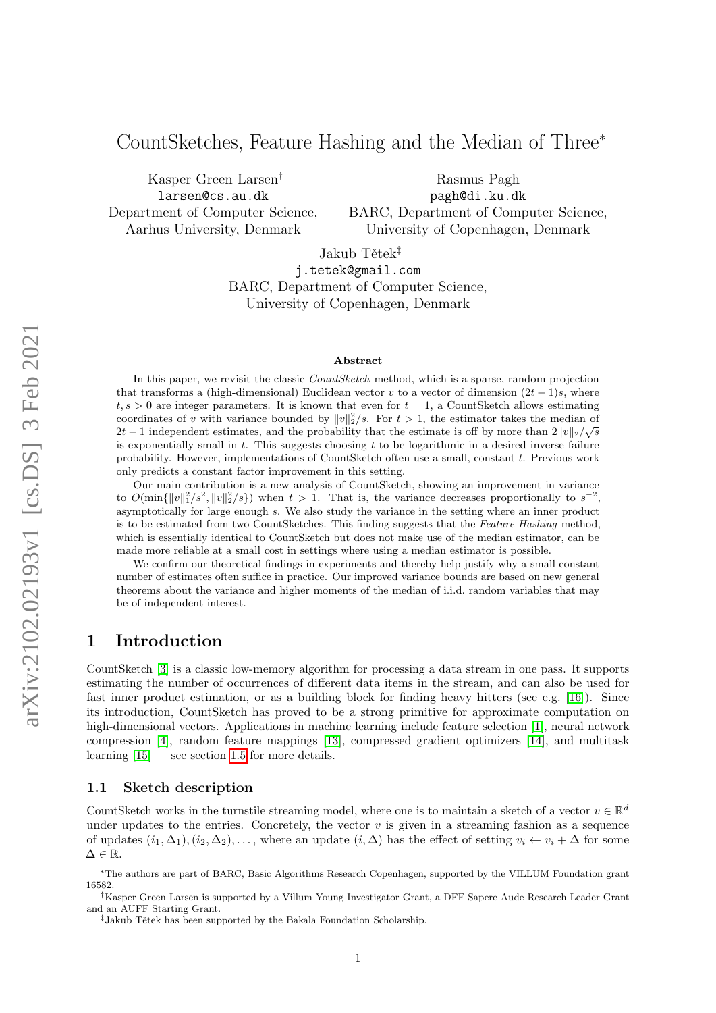# CountSketches, Feature Hashing and the Median of Three<sup>∗</sup>

Kasper Green Larsen† larsen@cs.au.dk Department of Computer Science, Aarhus University, Denmark

Rasmus Pagh pagh@di.ku.dk BARC, Department of Computer Science, University of Copenhagen, Denmark

Jakub Tětek<sup>‡</sup>

j.tetek@gmail.com BARC, Department of Computer Science, University of Copenhagen, Denmark

#### Abstract

In this paper, we revisit the classic *CountSketch* method, which is a sparse, random projection that transforms a (high-dimensional) Euclidean vector v to a vector of dimension  $(2t-1)s$ , where  $t, s > 0$  are integer parameters. It is known that even for  $t = 1$ , a CountSketch allows estimating coordinates of v with variance bounded by  $||v||_2^2/s$ . For  $t > 1$ , the estimator takes the median of 2t – 1 independent estimates, and the probability that the estimate is off by more than  $2||v||_2/\sqrt{s}$ is exponentially small in t. This suggests choosing t to be logarithmic in a desired inverse failure probability. However, implementations of CountSketch often use a small, constant t. Previous work only predicts a constant factor improvement in this setting.

Our main contribution is a new analysis of CountSketch, showing an improvement in variance to  $O(\min\{\Vert v\Vert_1^2/s^2, \Vert v\Vert_2^2/s\})$  when  $t > 1$ . That is, the variance decreases proportionally to  $s^{-2}$ , asymptotically for large enough s. We also study the variance in the setting where an inner product is to be estimated from two CountSketches. This finding suggests that the Feature Hashing method, which is essentially identical to CountSketch but does not make use of the median estimator, can be made more reliable at a small cost in settings where using a median estimator is possible.

We confirm our theoretical findings in experiments and thereby help justify why a small constant number of estimates often suffice in practice. Our improved variance bounds are based on new general theorems about the variance and higher moments of the median of i.i.d. random variables that may be of independent interest.

# 1 Introduction

CountSketch [\[3\]](#page-13-0) is a classic low-memory algorithm for processing a data stream in one pass. It supports estimating the number of occurrences of different data items in the stream, and can also be used for fast inner product estimation, or as a building block for finding heavy hitters (see e.g. [\[16\]](#page-13-1)). Since its introduction, CountSketch has proved to be a strong primitive for approximate computation on high-dimensional vectors. Applications in machine learning include feature selection [\[1\]](#page-12-0), neural network compression [\[4\]](#page-13-2), random feature mappings [\[13\]](#page-13-3), compressed gradient optimizers [\[14\]](#page-13-4), and multitask learning  $[15]$  — see section [1.5](#page-3-0) for more details.

#### 1.1 Sketch description

CountSketch works in the turnstile streaming model, where one is to maintain a sketch of a vector  $v \in \mathbb{R}^d$ under updates to the entries. Concretely, the vector  $v$  is given in a streaming fashion as a sequence of updates  $(i_1, \Delta_1), (i_2, \Delta_2), \ldots$ , where an update  $(i, \Delta)$  has the effect of setting  $v_i \leftarrow v_i + \Delta$  for some  $\Delta \in \mathbb{R}$ .

<sup>∗</sup>The authors are part of BARC, Basic Algorithms Research Copenhagen, supported by the VILLUM Foundation grant 16582.

<sup>†</sup>Kasper Green Larsen is supported by a Villum Young Investigator Grant, a DFF Sapere Aude Research Leader Grant and an AUFF Starting Grant.

<sup>&</sup>lt;sup>‡</sup>Jakub Tětek has been supported by the Bakala Foundation Scholarship.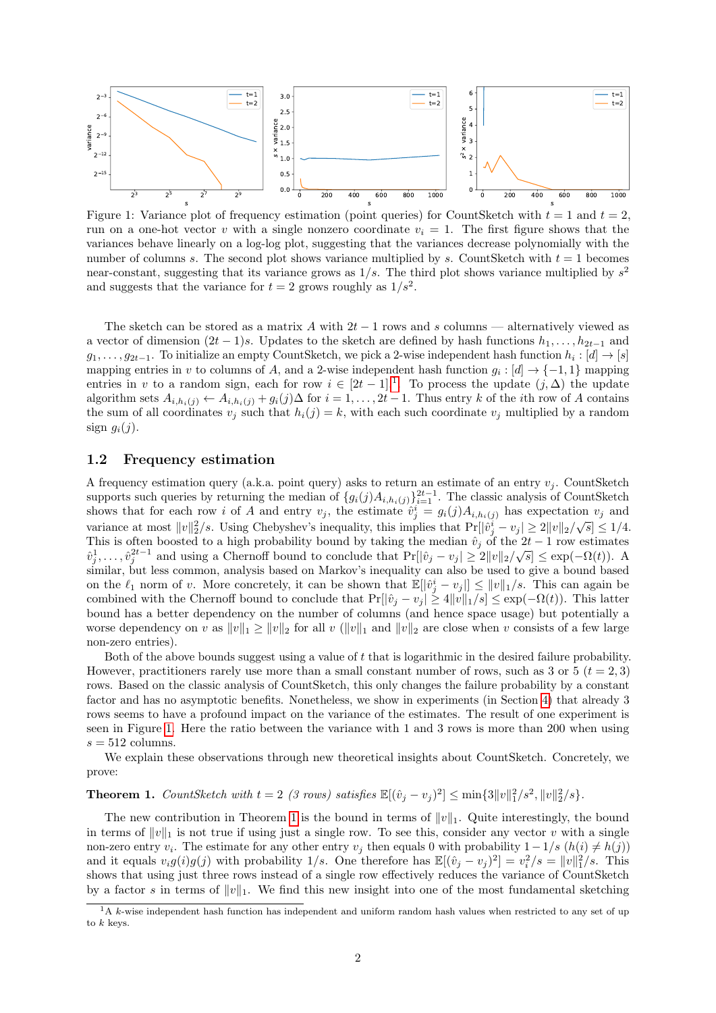<span id="page-1-1"></span>

Figure 1: Variance plot of frequency estimation (point queries) for CountSketch with  $t = 1$  and  $t = 2$ , run on a one-hot vector v with a single nonzero coordinate  $v_i = 1$ . The first figure shows that the variances behave linearly on a log-log plot, suggesting that the variances decrease polynomially with the number of columns s. The second plot shows variance multiplied by s. CountSketch with  $t = 1$  becomes near-constant, suggesting that its variance grows as  $1/s$ . The third plot shows variance multiplied by  $s^2$ and suggests that the variance for  $t = 2$  grows roughly as  $1/s<sup>2</sup>$ .

The sketch can be stored as a matrix A with  $2t - 1$  rows and s columns — alternatively viewed as a vector of dimension  $(2t-1)s$ . Updates to the sketch are defined by hash functions  $h_1, \ldots, h_{2t-1}$  and  $g_1, \ldots, g_{2t-1}$ . To initialize an empty CountSketch, we pick a 2-wise independent hash function  $h_i : [d] \to [s]$ mapping entries in v to columns of A, and a 2-wise independent hash function  $g_i : [d] \to \{-1,1\}$  mapping entries in v to a random sign, each for row  $i \in [2t-1]$  $i \in [2t-1]$  $i \in [2t-1]$ .<sup>1</sup>. To process the update  $(j, \Delta)$  the update algorithm sets  $A_{i,h_i(j)} \leftarrow A_{i,h_i(j)} + g_i(j) \Delta$  for  $i = 1,\ldots,2t-1$ . Thus entry k of the *i*th row of A contains the sum of all coordinates  $v_j$  such that  $h_i(j) = k$ , with each such coordinate  $v_j$  multiplied by a random sign  $g_i(j)$ .

#### 1.2 Frequency estimation

A frequency estimation query (a.k.a. point query) asks to return an estimate of an entry  $v_i$ . CountSketch supports such queries by returning the median of  $\{g_i(j)A_{i,h_i(j)}\}_{i=1}^{2t-1}$ . The classic analysis of CountSketch shows that for each row i of A and entry  $v_j$ , the estimate  $\hat{v}_j^i = g_i(j)A_{i,h_i(j)}$  has expectation  $v_j$  and variance at most  $||v||_2^2/s$ . Using Chebyshev's inequality, this implies that  $Pr[|v_j^i - v_j| \ge 2||v||_2/\sqrt{s}] \le 1/4$ . This is often boosted to a high probability bound by taking the median  $\hat{v}_j$  of the 2t – 1 row estimates This is often boosted to a high probability bound by taking the inedian  $v_j$  of the  $2t-1$  fow estimates  $\hat{v}_j^1, \ldots, \hat{v}_j^{2t-1}$  and using a Chernoff bound to conclude that  $\Pr[\hat{v}_j - v_j] \ge 2||v||_2/\sqrt{s}] \le \exp(-\Omega(t))$ . A similar, but less common, analysis based on Markov's inequality can also be used to give a bound based on the  $\ell_1$  norm of v. More concretely, it can be shown that  $\mathbb{E}[|\hat{v}_j^i - v_j|] \le ||v||_1/s$ . This can again be combined with the Chernoff bound to conclude that  $Pr[|\hat{v}_j - v_j| \ge 4||v||_1/s] \le \exp(-\Omega(t))$ . This latter bound has a better dependency on the number of columns (and hence space usage) but potentially a worse dependency on v as  $||v||_1 \ge ||v||_2$  for all v ( $||v||_1$  and  $||v||_2$  are close when v consists of a few large non-zero entries).

Both of the above bounds suggest using a value of t that is logarithmic in the desired failure probability. However, practitioners rarely use more than a small constant number of rows, such as 3 or 5  $(t = 2, 3)$ rows. Based on the classic analysis of CountSketch, this only changes the failure probability by a constant factor and has no asymptotic benefits. Nonetheless, we show in experiments (in Section [4\)](#page-8-0) that already 3 rows seems to have a profound impact on the variance of the estimates. The result of one experiment is seen in Figure [1.](#page-1-1) Here the ratio between the variance with 1 and 3 rows is more than 200 when using  $s = 512$  columns.

We explain these observations through new theoretical insights about CountSketch. Concretely, we prove:

<span id="page-1-2"></span>**Theorem 1.** CountSketch with  $t = 2$  (3 rows) satisfies  $\mathbb{E}[(\hat{v}_j - v_j)^2] \le \min\{3||v||_1^2/s^2, ||v||_2^2/s\}.$ 

The new contribution in Theorem [1](#page-1-2) is the bound in terms of  $||v||_1$ . Quite interestingly, the bound in terms of  $||v||_1$  is not true if using just a single row. To see this, consider any vector v with a single non-zero entry  $v_i$ . The estimate for any other entry  $v_j$  then equals 0 with probability  $1 - 1/s$   $(h(i) \neq h(j))$ and it equals  $v_i g(i) g(j)$  with probability 1/s. One therefore has  $\mathbb{E}[(\hat{v}_j - v_j)^2] = v_i^2/s = ||v||_1^2/s$ . This shows that using just three rows instead of a single row effectively reduces the variance of CountSketch by a factor s in terms of  $||v||_1$ . We find this new insight into one of the most fundamental sketching

<span id="page-1-0"></span> $1A$  k-wise independent hash function has independent and uniform random hash values when restricted to any set of up to  $k$  keys.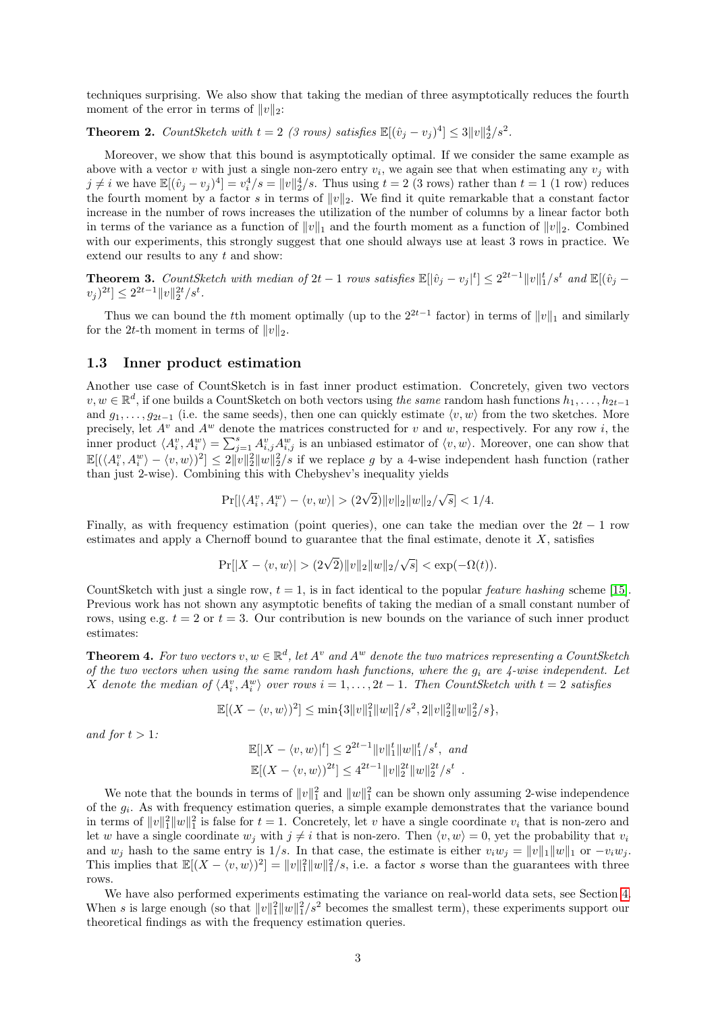techniques surprising. We also show that taking the median of three asymptotically reduces the fourth moment of the error in terms of  $||v||_2$ :

# <span id="page-2-0"></span>**Theorem 2.** CountSketch with  $t = 2$  (3 rows) satisfies  $\mathbb{E}[(\hat{v}_j - v_j)^4] \leq 3||v||_2^4/s^2$ .

Moreover, we show that this bound is asymptotically optimal. If we consider the same example as above with a vector v with just a single non-zero entry  $v_i$ , we again see that when estimating any  $v_j$  with  $j \neq i$  we have  $\mathbb{E}[(\hat{v}_j - v_j)^4] = v_i^4/s = ||v||_2^4/s$ . Thus using  $t = 2$  (3 rows) rather than  $t = 1$  (1 row) reduces the fourth moment by a factor s in terms of  $||v||_2$ . We find it quite remarkable that a constant factor increase in the number of rows increases the utilization of the number of columns by a linear factor both in terms of the variance as a function of  $||v||_1$  and the fourth moment as a function of  $||v||_2$ . Combined with our experiments, this strongly suggest that one should always use at least 3 rows in practice. We extend our results to any  $t$  and show:

<span id="page-2-1"></span>**Theorem 3.** CountSketch with median of  $2t - 1$  rows satisfies  $\mathbb{E}[|\hat{v}_j - v_j|^t] \leq 2^{2t-1} ||v||_1^t / s^t$  and  $\mathbb{E}[(\hat{v}_j |v_j|^{2t} \leq 2^{2t-1} \|v\|_2^{2t} / s^t.$ 

Thus we can bound the tth moment optimally (up to the  $2^{2t-1}$  factor) in terms of  $||v||_1$  and similarly for the 2t-th moment in terms of  $||v||_2$ .

#### 1.3 Inner product estimation

Another use case of CountSketch is in fast inner product estimation. Concretely, given two vectors  $v, w \in \mathbb{R}^d$ , if one builds a CountSketch on both vectors using the same random hash functions  $h_1, \ldots, h_{2t-1}$ and  $g_1, \ldots, g_{2t-1}$  (i.e. the same seeds), then one can quickly estimate  $\langle v, w \rangle$  from the two sketches. More precisely, let  $A^v$  and  $A^w$  denote the matrices constructed for v and w, respectively. For any row i, the inner product  $\langle A_i^v, A_i^w \rangle = \sum_{j=1}^s A_{i,j}^v A_{i,j}^w$  is an unbiased estimator of  $\langle v, w \rangle$ . Moreover, one can show that  $\mathbb{E}[(\langle A_i^v, A_i^w \rangle - \langle v, w \rangle)^2] \leq 2\|\nu\|_2^2 \|w\|_2^2/s$  if we replace g by a 4-wise independent hash function (rather than just 2-wise). Combining this with Chebyshev's inequality yields

$$
\Pr[|\langle A_i^v, A_i^w \rangle - \langle v, w \rangle| > (2\sqrt{2}) ||v||_2 ||w||_2/\sqrt{s}] < 1/4.
$$

Finally, as with frequency estimation (point queries), one can take the median over the  $2t - 1$  row estimates and apply a Chernoff bound to guarantee that the final estimate, denote it  $X$ , satisfies

$$
\Pr[|X - \langle v, w \rangle| > (2\sqrt{2}) ||v||_2 ||w||_2 / \sqrt{s}] < \exp(-\Omega(t)).
$$

CountSketch with just a single row,  $t = 1$ , is in fact identical to the popular *feature hashing* scheme [\[15\]](#page-13-5). Previous work has not shown any asymptotic benefits of taking the median of a small constant number of rows, using e.g.  $t = 2$  or  $t = 3$ . Our contribution is new bounds on the variance of such inner product estimates:

<span id="page-2-2"></span>**Theorem 4.** For two vectors  $v, w \in \mathbb{R}^d$ , let  $A^v$  and  $A^w$  denote the two matrices representing a CountSketch of the two vectors when using the same random hash functions, where the  $g_i$  are 4-wise independent. Let X denote the median of  $\langle A_i^v, A_i^w \rangle$  over rows  $i = 1, ..., 2t - 1$ . Then CountSketch with  $t = 2$  satisfies

$$
\mathbb{E}[(X - \langle v, w \rangle)^2] \le \min\{3\|v\|_1^2 \|w\|_1^2 / s^2, 2\|v\|_2^2 \|w\|_2^2 / s\},\
$$

and for  $t > 1$ :

$$
\mathbb{E}[|X - \langle v, w \rangle|^t] \le 2^{2t-1} ||v||_1^t ||w||_1^t / s^t, \text{ and}
$$
  

$$
\mathbb{E}[(X - \langle v, w \rangle)^{2t}] \le 4^{2t-1} ||v||_2^{2t} ||w||_2^{2t} / s^t.
$$

We note that the bounds in terms of  $||v||_1^2$  and  $||w||_1^2$  can be shown only assuming 2-wise independence of the  $g_i$ . As with frequency estimation queries, a simple example demonstrates that the variance bound in terms of  $||v||_1^2 ||w||_1^2$  is false for  $t = 1$ . Concretely, let v have a single coordinate  $v_i$  that is non-zero and let w have a single coordinate  $w_i$  with  $i \neq i$  that is non-zero. Then  $\langle v, w \rangle = 0$ , yet the probability that  $v_i$ and  $w_j$  hash to the same entry is 1/s. In that case, the estimate is either  $v_iw_j = ||v||_1 ||w||_1$  or  $-v_iw_j$ . This implies that  $\mathbb{E}[(X - \langle v, w \rangle)^2] = ||v||_1^2 ||w||_1^2 / s$ , i.e. a factor s worse than the guarantees with three rows.

We have also performed experiments estimating the variance on real-world data sets, see Section [4.](#page-10-0) When s is large enough (so that  $||v||_1^2 ||w||_1^2 / s^2$  becomes the smallest term), these experiments support our theoretical findings as with the frequency estimation queries.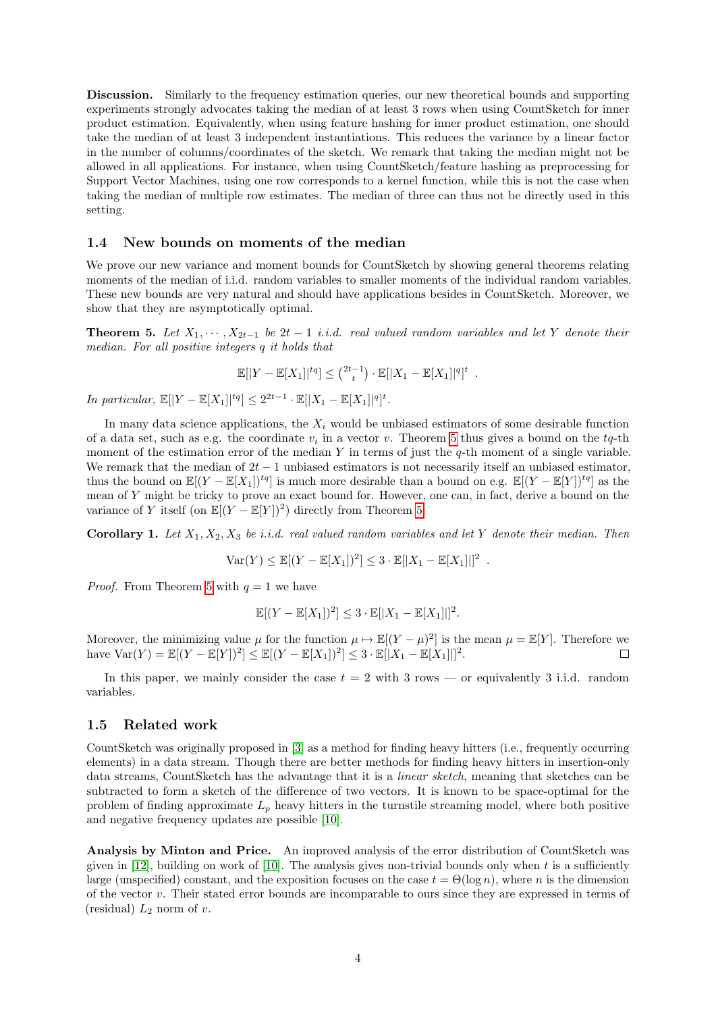Discussion. Similarly to the frequency estimation queries, our new theoretical bounds and supporting experiments strongly advocates taking the median of at least 3 rows when using CountSketch for inner product estimation. Equivalently, when using feature hashing for inner product estimation, one should take the median of at least 3 independent instantiations. This reduces the variance by a linear factor in the number of columns/coordinates of the sketch. We remark that taking the median might not be allowed in all applications. For instance, when using CountSketch/feature hashing as preprocessing for Support Vector Machines, using one row corresponds to a kernel function, while this is not the case when taking the median of multiple row estimates. The median of three can thus not be directly used in this setting.

#### 1.4 New bounds on moments of the median

We prove our new variance and moment bounds for CountSketch by showing general theorems relating moments of the median of i.i.d. random variables to smaller moments of the individual random variables. These new bounds are very natural and should have applications besides in CountSketch. Moreover, we show that they are asymptotically optimal.

<span id="page-3-1"></span>**Theorem 5.** Let  $X_1, \dots, X_{2t-1}$  be  $2t-1$  *i.i.d.* real valued random variables and let Y denote their median. For all positive integers q it holds that

$$
\mathbb{E}[|Y - \mathbb{E}[X_1]|^{tq}] \leq {2t-1 \choose t} \cdot \mathbb{E}[|X_1 - \mathbb{E}[X_1]|^{q}]^t.
$$

In particular,  $\mathbb{E}[|Y - \mathbb{E}[X_1]|^{tq}] \leq 2^{2t-1} \cdot \mathbb{E}[|X_1 - \mathbb{E}[X_1]|^{q}]^t$ .

In many data science applications, the  $X_i$  would be unbiased estimators of some desirable function of a data set, such as e.g. the coordinate  $v_i$  in a vector v. Theorem [5](#page-3-1) thus gives a bound on the  $tq$ -th moment of the estimation error of the median Y in terms of just the  $q$ -th moment of a single variable. We remark that the median of  $2t - 1$  unbiased estimators is not necessarily itself an unbiased estimator, thus the bound on  $\mathbb{E}[(Y - \mathbb{E}[X_1])^{tq}]$  is much more desirable than a bound on e.g.  $\mathbb{E}[(Y - \mathbb{E}[Y])^{tq}]$  as the mean of Y might be tricky to prove an exact bound for. However, one can, in fact, derive a bound on the variance of Y itself (on  $\mathbb{E}[(Y - \mathbb{E}[Y])^2]$  directly from Theorem [5:](#page-3-1)

Corollary 1. Let  $X_1, X_2, X_3$  be i.i.d. real valued random variables and let Y denote their median. Then

$$
Var(Y) \le \mathbb{E}[(Y - \mathbb{E}[X_1])^2] \le 3 \cdot \mathbb{E}[|X_1 - \mathbb{E}[X_1]|]^2.
$$

*Proof.* From Theorem [5](#page-3-1) with  $q = 1$  we have

$$
\mathbb{E}[(Y-\mathbb{E}[X_1])^2] \leq 3 \cdot \mathbb{E}[|X_1-\mathbb{E}[X_1]|]^2.
$$

Moreover, the minimizing value  $\mu$  for the function  $\mu \mapsto \mathbb{E}[(Y-\mu)^2]$  is the mean  $\mu = \mathbb{E}[Y]$ . Therefore we have  $\text{Var}(Y) = \mathbb{E}[(Y - \mathbb{E}[Y])^2] \leq \mathbb{E}[(Y - \mathbb{E}[X_1])^2] \leq 3 \cdot \mathbb{E}[|X_1 - \mathbb{E}[X_1]|]^2$ .  $\Box$ 

In this paper, we mainly consider the case  $t = 2$  with 3 rows — or equivalently 3 i.i.d. random variables.

#### <span id="page-3-0"></span>1.5 Related work

CountSketch was originally proposed in [\[3\]](#page-13-0) as a method for finding heavy hitters (i.e., frequently occurring elements) in a data stream. Though there are better methods for finding heavy hitters in insertion-only data streams, CountSketch has the advantage that it is a linear sketch, meaning that sketches can be subtracted to form a sketch of the difference of two vectors. It is known to be space-optimal for the problem of finding approximate  $L_p$  heavy hitters in the turnstile streaming model, where both positive and negative frequency updates are possible [\[10\]](#page-13-6).

Analysis by Minton and Price. An improved analysis of the error distribution of CountSketch was given in [\[12\]](#page-13-7), building on work of [\[10\]](#page-13-6). The analysis gives non-trivial bounds only when t is a sufficiently large (unspecified) constant, and the exposition focuses on the case  $t = \Theta(\log n)$ , where n is the dimension of the vector v. Their stated error bounds are incomparable to ours since they are expressed in terms of (residual)  $L_2$  norm of v.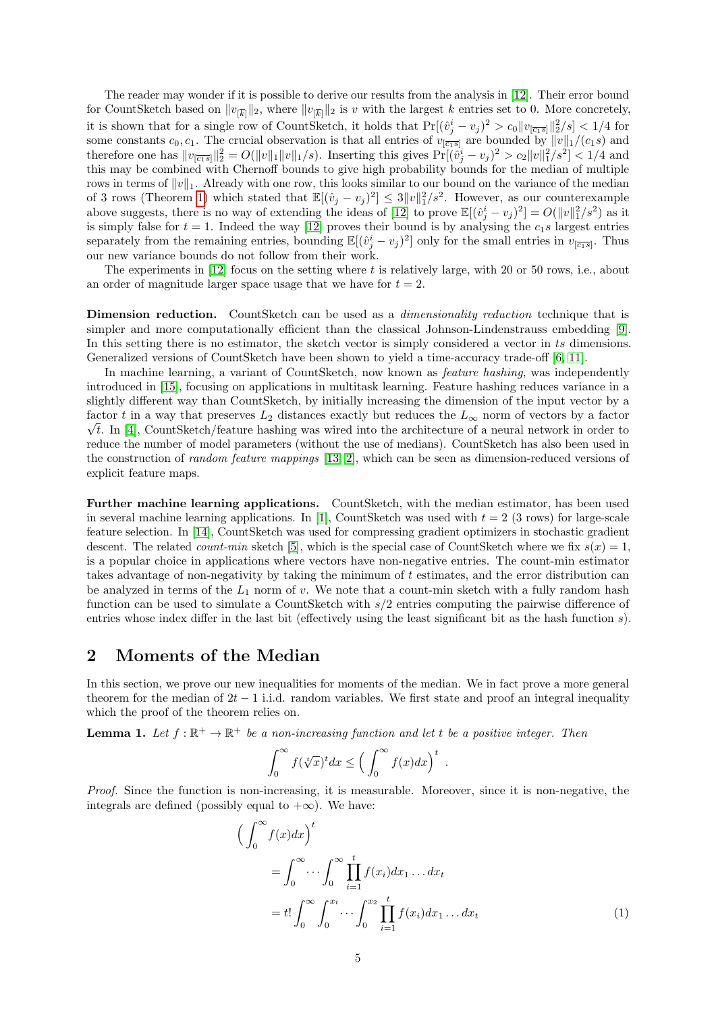The reader may wonder if it is possible to derive our results from the analysis in [\[12\]](#page-13-7). Their error bound for CountSketch based on  $||v_{\overline{k}}||_2$ , where  $||v_{\overline{k}}||_2$  is v with the largest k entries set to 0. More concretely, it is shown that for a single row of CountSketch, it holds that  $Pr[(\hat{v}_j^i - v_j)^2 > c_0 || v_{\overline{[c_1 s]}}||_2^2/s] < 1/4$  for some constants  $c_0, c_1$ . The crucial observation is that all entries of  $v_{\overline{c_1s}}$  are bounded by  $||v||_1/(c_1s)$  and therefore one has  $||v_{[\overline{c_1s}]}||_2^2 = O(||v||_1 ||v||_1/s)$ . Inserting this gives  $Pr[(\hat{v}_j^i - v_j)^2 > c_2 ||v||_1^2/s^2] < 1/4$  and this may be combined with Chernoff bounds to give high probability bounds for the median of multiple rows in terms of  $||v||_1$ . Already with one row, this looks similar to our bound on the variance of the median of 3 rows (Theorem [1\)](#page-1-2) which stated that  $\mathbb{E}[(\hat{v}_j - v_j)^2] \leq 3||v||_1^2/s^2$ . However, as our counterexample above suggests, there is no way of extending the ideas of [\[12\]](#page-13-7) to prove  $\mathbb{E}[(\hat{v}_j^i - v_j)^2] = O(||v||_1^2/s^2)$  as it is simply false for  $t = 1$ . Indeed the way [\[12\]](#page-13-7) proves their bound is by analysing the  $c_1s$  largest entries separately from the remaining entries, bounding  $\mathbb{E}[(\hat{v}_j^i - v_j)^2]$  only for the small entries in  $v_{[\overline{c_1 s}]}$ . Thus our new variance bounds do not follow from their work.

The experiments in  $[12]$  focus on the setting where t is relatively large, with 20 or 50 rows, i.e., about an order of magnitude larger space usage that we have for  $t = 2$ .

Dimension reduction. CountSketch can be used as a *dimensionality reduction* technique that is simpler and more computationally efficient than the classical Johnson-Lindenstrauss embedding [\[9\]](#page-13-8). In this setting there is no estimator, the sketch vector is simply considered a vector in ts dimensions. Generalized versions of CountSketch have been shown to yield a time-accuracy trade-off [\[6,](#page-13-9) [11\]](#page-13-10).

In machine learning, a variant of CountSketch, now known as *feature hashing*, was independently introduced in [\[15\]](#page-13-5), focusing on applications in multitask learning. Feature hashing reduces variance in a slightly different way than CountSketch, by initially increasing the dimension of the input vector by a factor t in a way that preserves  $L_2$  distances exactly but reduces the  $L_{\infty}$  norm of vectors by a factor  $\sqrt{t}$ . In [\[4\]](#page-13-2), CountSketch/feature hashing was wired into the architecture of a neural network in order to reduce the number of model parameters (without the use of medians). CountSketch has also been used in the construction of random feature mappings [\[13,](#page-13-3) [2\]](#page-12-1), which can be seen as dimension-reduced versions of explicit feature maps.

Further machine learning applications. CountSketch, with the median estimator, has been used in several machine learning applications. In [\[1\]](#page-12-0), CountSketch was used with  $t = 2$  (3 rows) for large-scale feature selection. In [\[14\]](#page-13-4), CountSketch was used for compressing gradient optimizers in stochastic gradient descent. The related *count-min* sketch [\[5\]](#page-13-11), which is the special case of CountSketch where we fix  $s(x) = 1$ . is a popular choice in applications where vectors have non-negative entries. The count-min estimator takes advantage of non-negativity by taking the minimum of  $t$  estimates, and the error distribution can be analyzed in terms of the  $L_1$  norm of v. We note that a count-min sketch with a fully random hash function can be used to simulate a CountSketch with s/2 entries computing the pairwise difference of entries whose index differ in the last bit (effectively using the least significant bit as the hash function s).

## 2 Moments of the Median

In this section, we prove our new inequalities for moments of the median. We in fact prove a more general theorem for the median of  $2t - 1$  i.i.d. random variables. We first state and proof an integral inequality which the proof of the theorem relies on.

<span id="page-4-1"></span>**Lemma 1.** Let  $f : \mathbb{R}^+ \to \mathbb{R}^+$  be a non-increasing function and let t be a positive integer. Then

<span id="page-4-0"></span>
$$
\int_0^\infty f(\sqrt[x]{x})^t dx \le \left(\int_0^\infty f(x) dx\right)^t.
$$

Proof. Since the function is non-increasing, it is measurable. Moreover, since it is non-negative, the integrals are defined (possibly equal to  $+\infty$ ). We have:

$$
\left(\int_0^\infty f(x)dx\right)^t
$$
  
= 
$$
\int_0^\infty \cdots \int_0^\infty \prod_{i=1}^t f(x_i)dx_1 \dots dx_t
$$
  
= 
$$
t! \int_0^\infty \int_0^{x_t} \cdots \int_0^{x_2} \prod_{i=1}^t f(x_i)dx_1 \dots dx_t
$$
 (1)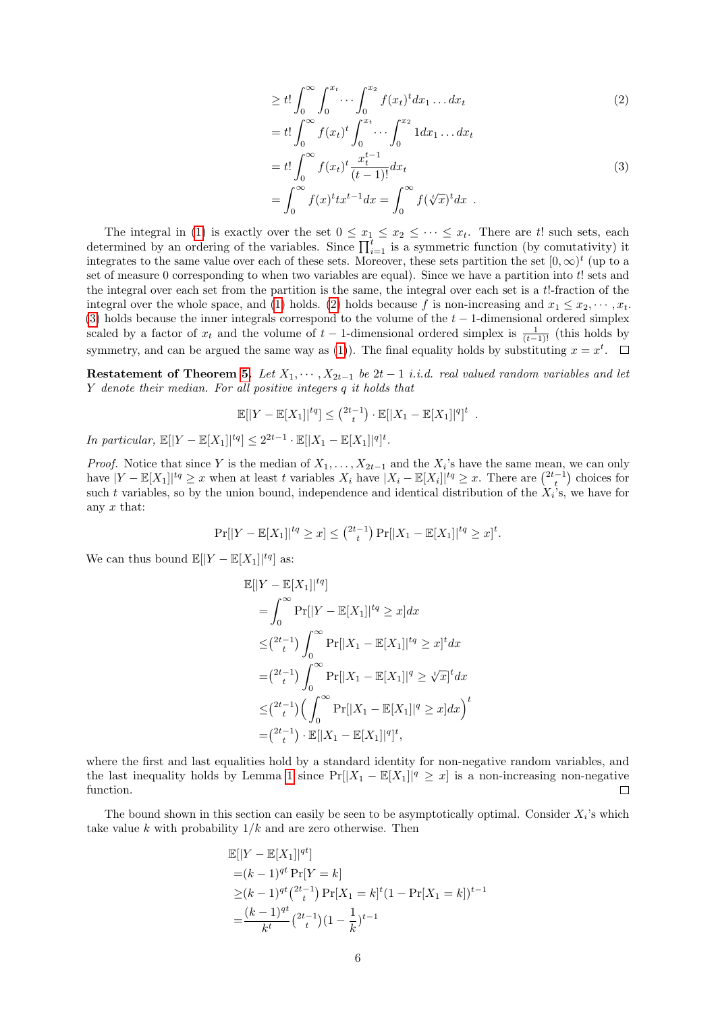<span id="page-5-0"></span>
$$
\geq t! \int_0^\infty \int_0^{x_t} \cdots \int_0^{x_2} f(x_t)^t dx_1 \dots dx_t
$$
\n
$$
(2)
$$

<span id="page-5-1"></span>
$$
= t! \int_0^{\infty} f(x_t)^t \int_0^{x_t} \cdots \int_0^{x_2} 1 dx_1 \dots dx_t
$$
  
\n
$$
= t! \int_0^{\infty} f(x_t)^t \frac{x_t^{t-1}}{(t-1)!} dx_t
$$
  
\n
$$
= \int_0^{\infty} f(x)^t tx^{t-1} dx = \int_0^{\infty} f(\sqrt[t]{x})^t dx .
$$
\n(3)

The integral in [\(1\)](#page-4-0) is exactly over the set  $0 \le x_1 \le x_2 \le \cdots \le x_t$ . There are t! such sets, each determined by an ordering of the variables. Since  $\prod_{i=1}^{t}$  is a symmetric function (by comutativity) it integrates to the same value over each of these sets. Moreover, these sets partition the set  $[0,\infty)^t$  (up to a set of measure 0 corresponding to when two variables are equal). Since we have a partition into t! sets and the integral over each set from the partition is the same, the integral over each set is a t!-fraction of the integral over the whole space, and [\(1\)](#page-4-0) holds. [\(2\)](#page-5-0) holds because f is non-increasing and  $x_1 \leq x_2, \cdots, x_t$ . [\(3\)](#page-5-1) holds because the inner integrals correspond to the volume of the  $t - 1$ -dimensional ordered simplex scaled by a factor of  $x_t$  and the volume of  $t-1$ -dimensional ordered simplex is  $\frac{1}{(t-1)!}$  (this holds by symmetry, and can be argued the same way as [\(1\)](#page-4-0)). The final equality holds by substituting  $x = x<sup>t</sup>$ .

Restatement of Theorem [5.](#page-3-1) Let  $X_1, \cdots, X_{2t-1}$  be  $2t-1$  i.i.d. real valued random variables and let Y denote their median. For all positive integers q it holds that

$$
\mathbb{E}[|Y - \mathbb{E}[X_1]|^{tq}] \leq {2t-1 \choose t} \cdot \mathbb{E}[|X_1 - \mathbb{E}[X_1]|^{q}]^t.
$$

In particular,  $\mathbb{E}[|Y - \mathbb{E}[X_1]|^{tq}] \leq 2^{2t-1} \cdot \mathbb{E}[|X_1 - \mathbb{E}[X_1]|^{q}]^t$ .

*Proof.* Notice that since Y is the median of  $X_1, \ldots, X_{2t-1}$  and the  $X_i$ 's have the same mean, we can only have  $|Y - \mathbb{E}[X_1]|^{tq} \geq x$  when at least t variables  $X_i$  have  $|X_i - \mathbb{E}[X_i]|^{tq} \geq x$ . There are  $\binom{2t-1}{t}$  choices for such t variables, so by the union bound, independence and identical distribution of the  $X_i$ 's, we have for any  $x$  that:

$$
\Pr[|Y - \mathbb{E}[X_1]|^{tq} \ge x] \le {2t-1 \choose t} \Pr[|X_1 - \mathbb{E}[X_1]|^{tq} \ge x]^t.
$$

We can thus bound  $\mathbb{E}[|Y - \mathbb{E}[X_1]|^{tq}]$  as:

$$
\mathbb{E}[|Y - \mathbb{E}[X_1]|^{tq}]
$$
\n
$$
= \int_0^\infty \Pr[|Y - \mathbb{E}[X_1]|^{tq} \ge x] dx
$$
\n
$$
\leq {2t-1 \choose t} \int_0^\infty \Pr[|X_1 - \mathbb{E}[X_1]|^{tq} \ge x]^t dx
$$
\n
$$
= {2t-1 \choose t} \int_0^\infty \Pr[|X_1 - \mathbb{E}[X_1]|^q \ge \sqrt[t]{x}]^t dx
$$
\n
$$
\leq {2t-1 \choose t} \Big(\int_0^\infty \Pr[|X_1 - \mathbb{E}[X_1]|^q \ge x] dx\Big)^t
$$
\n
$$
= {2t-1 \choose t} \cdot \mathbb{E}[|X_1 - \mathbb{E}[X_1]|^q]^t,
$$

where the first and last equalities hold by a standard identity for non-negative random variables, and the last inequality holds by Lemma [1](#page-4-1) since  $Pr[|X_1 - \mathbb{E}[X_1]|^q \geq x]$  is a non-increasing non-negative function.  $\Box$ 

The bound shown in this section can easily be seen to be asymptotically optimal. Consider  $X_i$ 's which take value k with probability  $1/k$  and are zero otherwise. Then

$$
\mathbb{E}[|Y - \mathbb{E}[X_1]|^{qt}]
$$
  
=  $(k-1)^{qt} \Pr[Y = k]$   
\ge  $(k-1)^{qt} {2t-1 \choose t} \Pr[X_1 = k]^t (1 - \Pr[X_1 = k])^{t-1}$   
=  $\frac{(k-1)^{qt}}{k^t} {2t-1 \choose t} (1 - \frac{1}{k})^{t-1}$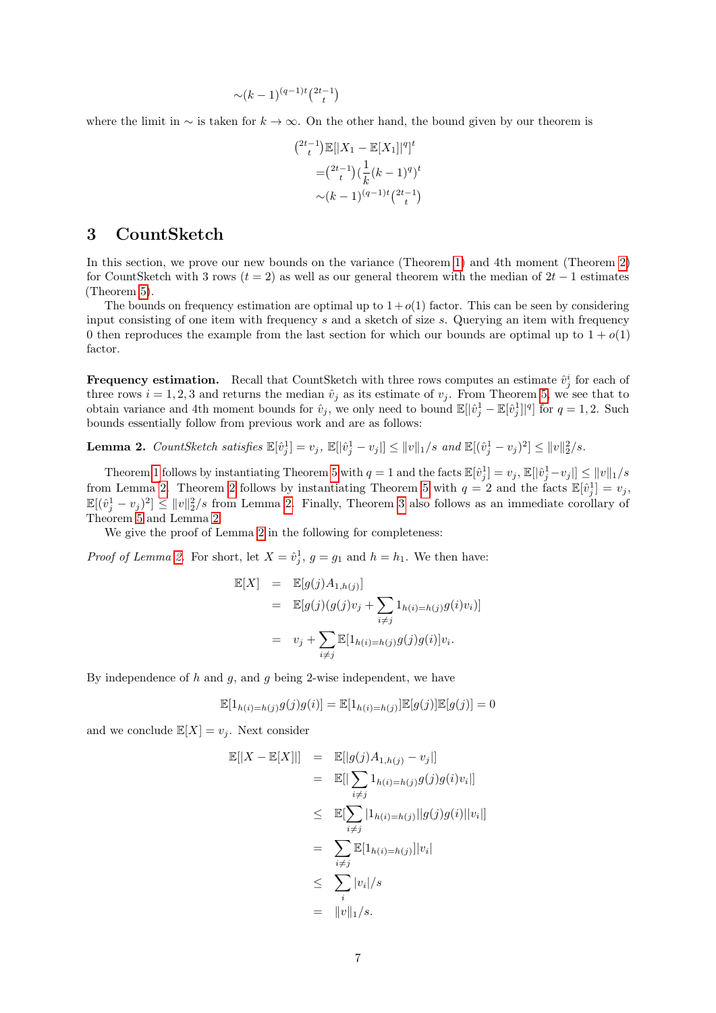$$
\sim (k-1)^{(q-1)t} \binom{2t-1}{t}
$$

where the limit in  $\sim$  is taken for  $k \to \infty$ . On the other hand, the bound given by our theorem is

$$
\binom{2t-1}{t} \mathbb{E}[|X_1 - \mathbb{E}[X_1]|^q]^t
$$

$$
= \binom{2t-1}{t} \left(\frac{1}{k}(k-1)^q\right)^t
$$

$$
\sim (k-1)^{(q-1)t} \binom{2t-1}{t}
$$

### 3 CountSketch

In this section, we prove our new bounds on the variance (Theorem [1\)](#page-1-2) and 4th moment (Theorem [2\)](#page-2-0) for CountSketch with 3 rows ( $t = 2$ ) as well as our general theorem with the median of  $2t - 1$  estimates (Theorem [5\)](#page-3-1).

The bounds on frequency estimation are optimal up to  $1 + o(1)$  factor. This can be seen by considering input consisting of one item with frequency  $s$  and a sketch of size  $s$ . Querying an item with frequency 0 then reproduces the example from the last section for which our bounds are optimal up to  $1 + o(1)$ factor.

**Frequency estimation.** Recall that CountSketch with three rows computes an estimate  $\hat{v}_j^i$  for each of three rows  $i = 1, 2, 3$  and returns the median  $\hat{v}_j$  as its estimate of  $v_j$ . From Theorem [5,](#page-3-1) we see that to obtain variance and 4th moment bounds for  $\hat{v}_j$ , we only need to bound  $\mathbb{E}[|\hat{v}_j^1 - \mathbb{E}[\hat{v}_j^1]|^q]$  for  $q = 1, 2$ . Such bounds essentially follow from previous work and are as follows:

<span id="page-6-0"></span>**Lemma 2.** CountSketch satisfies  $\mathbb{E}[\hat{v}_j^1] = v_j$ ,  $\mathbb{E}[|\hat{v}_j^1 - v_j|] \le ||v||_1/s$  and  $\mathbb{E}[(\hat{v}_j^1 - v_j)^2] \le ||v||_2^2/s$ .

Theorem [1](#page-1-2) follows by instantiating Theorem [5](#page-3-1) with  $q = 1$  and the facts  $\mathbb{E}[\hat{v}_j^1] = v_j$ ,  $\mathbb{E}[\hat{v}_j^1 - v_j] \le ||v||_1/s$ from Lemma [2.](#page-6-0) Theorem [2](#page-2-0) follows by instantiating Theorem [5](#page-3-1) with  $q = 2$  and the facts  $\mathbb{E}[\hat{v}_j^1] = v_j$ ,  $\mathbb{E}[(\hat{v}_j^1 - v_j)^2] \le ||v||_2^2/s$  from Lemma [2.](#page-6-0) Finally, Theorem [3](#page-2-1) also follows as an immediate corollary of Theorem [5](#page-3-1) and Lemma [2.](#page-6-0)

We give the proof of Lemma [2](#page-6-0) in the following for completeness:

*Proof of Lemma [2.](#page-6-0)* For short, let  $X = \hat{v}_j^1$ ,  $g = g_1$  and  $h = h_1$ . We then have:

$$
\mathbb{E}[X] = \mathbb{E}[g(j)A_{1,h(j)}]
$$
  
\n
$$
= \mathbb{E}[g(j)(g(j)v_j + \sum_{i \neq j} 1_{h(i)=h(j)}g(i)v_i)]
$$
  
\n
$$
= v_j + \sum_{i \neq j} \mathbb{E}[1_{h(i)=h(j)}g(j)g(i)]v_i.
$$

By independence of  $h$  and  $g$ , and  $g$  being 2-wise independent, we have

$$
\mathbb{E}[1_{h(i)=h(j)}g(j)g(i)] = \mathbb{E}[1_{h(i)=h(j)}]\mathbb{E}[g(j)]\mathbb{E}[g(j)] = 0
$$

and we conclude  $\mathbb{E}[X] = v_i$ . Next consider

$$
\mathbb{E}[|X - \mathbb{E}[X]|] = \mathbb{E}[|g(j)A_{1,h(j)} - v_j|]
$$
  
\n
$$
= \mathbb{E}[|\sum_{i \neq j} 1_{h(i) = h(j)}g(j)g(i)v_i|]
$$
  
\n
$$
\leq \mathbb{E}[\sum_{i \neq j} |1_{h(i) = h(j)}||g(j)g(i)||v_i|]
$$
  
\n
$$
= \sum_{i \neq j} \mathbb{E}[1_{h(i) = h(j)}||v_i|
$$
  
\n
$$
\leq \sum_{i} |v_i|/s
$$
  
\n
$$
= ||v||_1/s.
$$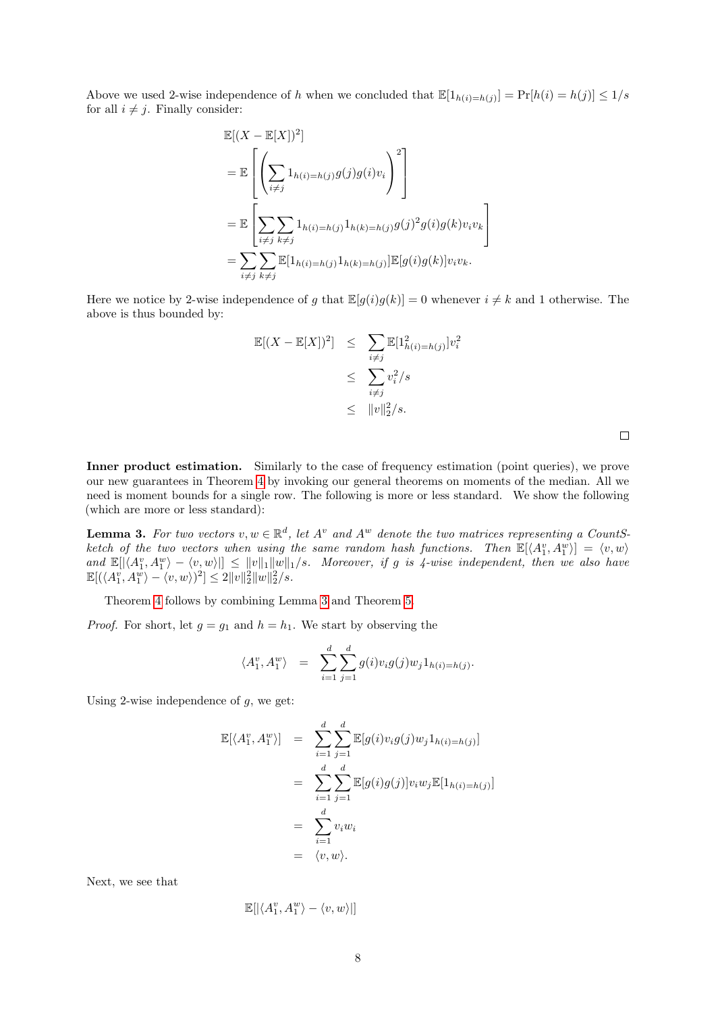Above we used 2-wise independence of h when we concluded that  $\mathbb{E}[1_{h(i)=h(j)}] = \Pr[h(i)=h(j)] \leq 1/s$ for all  $i \neq j$ . Finally consider:

$$
\mathbb{E}[(X - \mathbb{E}[X])^{2}]
$$
\n
$$
= \mathbb{E}\left[\left(\sum_{i \neq j} 1_{h(i) = h(j)} g(j)g(i)v_{i}\right)^{2}\right]
$$
\n
$$
= \mathbb{E}\left[\sum_{i \neq j} \sum_{k \neq j} 1_{h(i) = h(j)} 1_{h(k) = h(j)} g(j)^{2} g(i)g(k)v_{i}v_{k}\right]
$$
\n
$$
= \sum_{i \neq j} \sum_{k \neq j} \mathbb{E}[1_{h(i) = h(j)} 1_{h(k) = h(j)}] \mathbb{E}[g(i)g(k)]v_{i}v_{k}.
$$

Here we notice by 2-wise independence of g that  $\mathbb{E}[g(i)g(k)] = 0$  whenever  $i \neq k$  and 1 otherwise. The above is thus bounded by:

$$
\mathbb{E}[(X - \mathbb{E}[X])^2] \leq \sum_{i \neq j} \mathbb{E}[1_{h(i) = h(j)}^2] v_i^2
$$
  

$$
\leq \sum_{i \neq j} v_i^2 / s
$$
  

$$
\leq ||v||_2^2 / s.
$$

Inner product estimation. Similarly to the case of frequency estimation (point queries), we prove our new guarantees in Theorem [4](#page-2-2) by invoking our general theorems on moments of the median. All we need is moment bounds for a single row. The following is more or less standard. We show the following (which are more or less standard):

<span id="page-7-0"></span>**Lemma 3.** For two vectors  $v, w \in \mathbb{R}^d$ , let  $A^v$  and  $A^w$  denote the two matrices representing a CountSketch of the two vectors when using the same random hash functions. Then  $\mathbb{E}[\langle A_1^v, A_1^w \rangle] = \langle v, w \rangle$ and  $\mathbb{E}[|\langle A_1^v, A_1^w \rangle - \langle v, w \rangle|] \le ||v||_1 ||w||_1/s$ . Moreover, if g is 4-wise independent, then we also have  $\mathbb{E}[(\langle A_1^v, A_1^w \rangle - \langle v, w \rangle)^2] \leq 2||v||_2^2||w||_2^2/s.$ 

Theorem [4](#page-2-2) follows by combining Lemma [3](#page-7-0) and Theorem [5.](#page-3-1)

*Proof.* For short, let  $g = g_1$  and  $h = h_1$ . We start by observing the

$$
\langle A_1^v, A_1^w \rangle = \sum_{i=1}^d \sum_{j=1}^d g(i) v_i g(j) w_j 1_{h(i) = h(j)}.
$$

Using 2-wise independence of  $g$ , we get:

$$
\mathbb{E}[\langle A_1^v, A_1^w \rangle] = \sum_{i=1}^d \sum_{j=1}^d \mathbb{E}[g(i)v_i g(j) w_j 1_{h(i) = h(j)}]
$$
  
\n
$$
= \sum_{i=1}^d \sum_{j=1}^d \mathbb{E}[g(i)g(j)] v_i w_j \mathbb{E}[1_{h(i) = h(j)}]
$$
  
\n
$$
= \sum_{i=1}^d v_i w_i
$$
  
\n
$$
= \langle v, w \rangle.
$$

Next, we see that

 $\mathbb{E}[|\langle A_1^v, A_1^w \rangle - \langle v, w \rangle|]$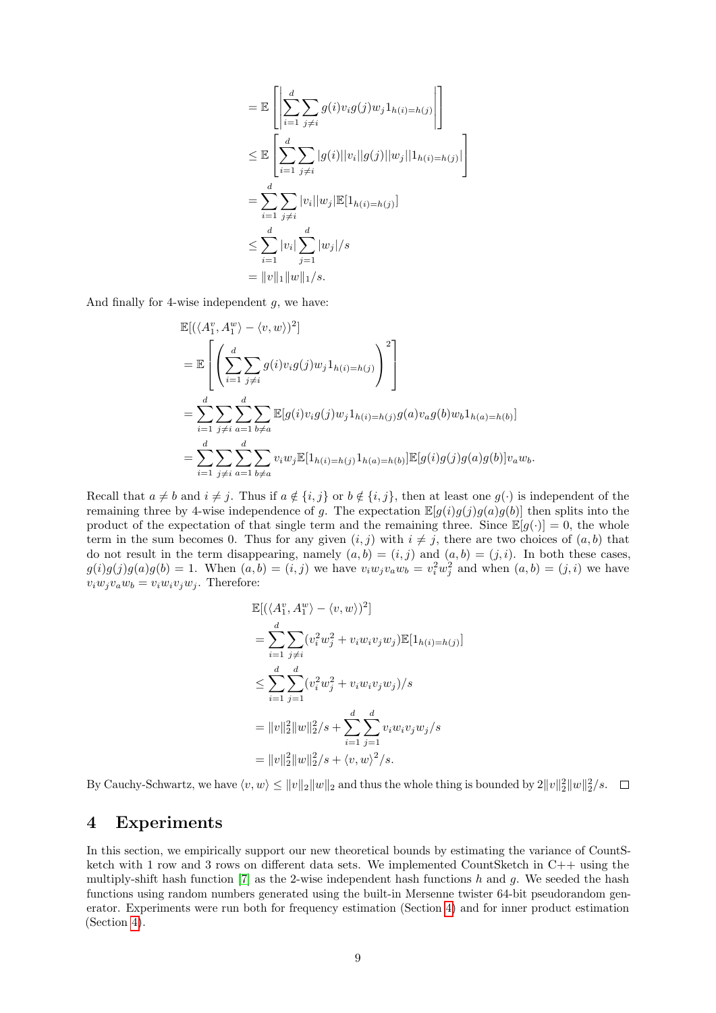$$
= \mathbb{E}\left[\left|\sum_{i=1}^{d}\sum_{j\neq i}g(i)v_{i}g(j)w_{j}1_{h(i)=h(j)}\right|\right]
$$
  
\n
$$
\leq \mathbb{E}\left[\sum_{i=1}^{d}\sum_{j\neq i}|g(i)||v_{i}||g(j)||w_{j}||1_{h(i)=h(j)}|\right]
$$
  
\n
$$
= \sum_{i=1}^{d}\sum_{j\neq i}|v_{i}||w_{j}|\mathbb{E}[1_{h(i)=h(j)}]
$$
  
\n
$$
\leq \sum_{i=1}^{d}|v_{i}|\sum_{j=1}^{d}|w_{j}|/s
$$
  
\n
$$
= ||v||_{1}||w||_{1}/s.
$$

And finally for 4-wise independent  $q$ , we have:

$$
\mathbb{E}[(\langle A_1^v, A_1^w \rangle - \langle v, w \rangle)^2]
$$
\n
$$
= \mathbb{E}\left[\left(\sum_{i=1}^d \sum_{j \neq i} g(i)v_i g(j) w_j 1_{h(i) = h(j)}\right)^2\right]
$$
\n
$$
= \sum_{i=1}^d \sum_{j \neq i} \sum_{a=1}^d \sum_{b \neq a} \mathbb{E}[g(i)v_i g(j) w_j 1_{h(i) = h(j)} g(a) v_a g(b) w_b 1_{h(a) = h(b)}]
$$
\n
$$
= \sum_{i=1}^d \sum_{j \neq i} \sum_{a=1}^d \sum_{b \neq a} v_i w_j \mathbb{E}[1_{h(i) = h(j)} 1_{h(a) = h(b)}] \mathbb{E}[g(i)g(j)g(a)g(b)] v_a w_b.
$$

Recall that  $a \neq b$  and  $i \neq j$ . Thus if  $a \notin \{i, j\}$  or  $b \notin \{i, j\}$ , then at least one  $g(\cdot)$  is independent of the remaining three by 4-wise independence of g. The expectation  $\mathbb{E}[g(i)g(j)g(a)g(b)]$  then splits into the product of the expectation of that single term and the remaining three. Since  $\mathbb{E}[g(\cdot)] = 0$ , the whole term in the sum becomes 0. Thus for any given  $(i, j)$  with  $i \neq j$ , there are two choices of  $(a, b)$  that do not result in the term disappearing, namely  $(a, b) = (i, j)$  and  $(a, b) = (j, i)$ . In both these cases,  $g(i)g(j)g(a)g(b) = 1$ . When  $(a,b) = (i, j)$  we have  $v_iw_jv_aw_b = v_i^2w_j^2$  and when  $(a, b) = (j, i)$  we have  $v_iw_jv_aw_b = v_iw_iv_jw_j$ . Therefore:

$$
\mathbb{E}[(\langle A_1^v, A_1^w \rangle - \langle v, w \rangle)^2]
$$
\n
$$
= \sum_{i=1}^d \sum_{j \neq i} (v_i^2 w_j^2 + v_i w_i v_j w_j) \mathbb{E}[1_{h(i) = h(j)}]
$$
\n
$$
\leq \sum_{i=1}^d \sum_{j=1}^d (v_i^2 w_j^2 + v_i w_i v_j w_j) / s
$$
\n
$$
= \|v\|_2^2 \|w\|_2^2 / s + \sum_{i=1}^d \sum_{j=1}^d v_i w_i v_j w_j / s
$$
\n
$$
= \|v\|_2^2 \|w\|_2^2 / s + \langle v, w \rangle^2 / s.
$$

By Cauchy-Schwartz, we have  $\langle v, w \rangle \le ||v||_2 ||w||_2$  and thus the whole thing is bounded by  $2||v||_2^2 ||w||_2^2/s$ .

## <span id="page-8-0"></span>4 Experiments

In this section, we empirically support our new theoretical bounds by estimating the variance of CountSketch with 1 row and 3 rows on different data sets. We implemented CountSketch in C++ using the multiply-shift hash function  $[7]$  as the 2-wise independent hash functions h and g. We seeded the hash functions using random numbers generated using the built-in Mersenne twister 64-bit pseudorandom generator. Experiments were run both for frequency estimation (Section [4\)](#page-9-0) and for inner product estimation (Section [4\)](#page-10-0).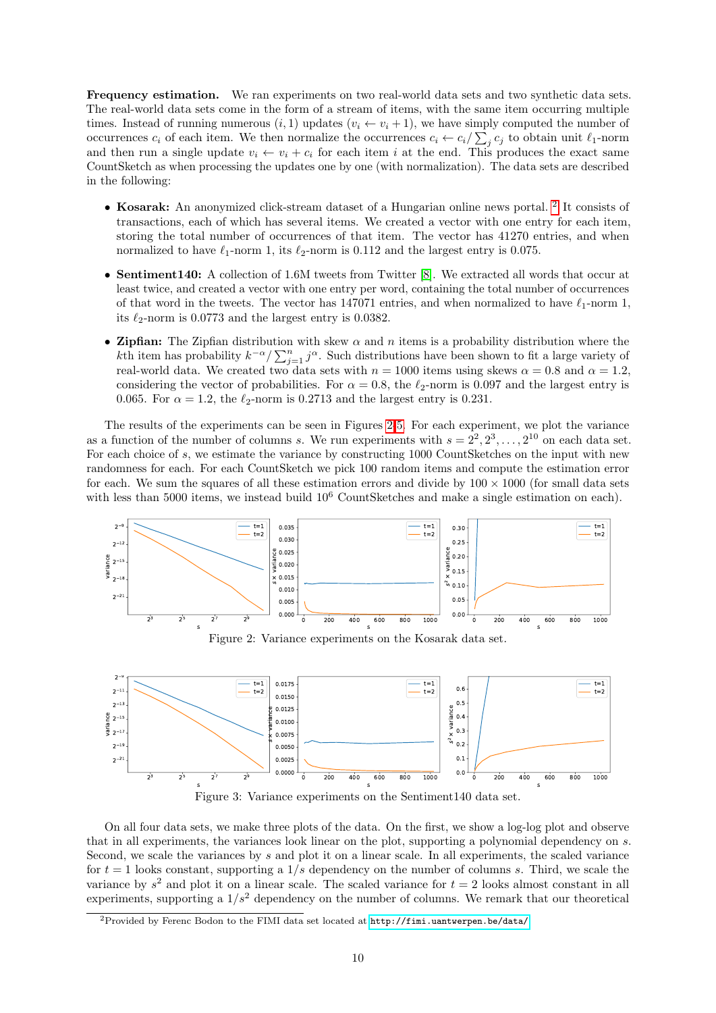<span id="page-9-0"></span>Frequency estimation. We ran experiments on two real-world data sets and two synthetic data sets. The real-world data sets come in the form of a stream of items, with the same item occurring multiple times. Instead of running numerous  $(i, 1)$  updates  $(v_i \leftarrow v_i + 1)$ , we have simply computed the number of occurrences  $c_i$  of each item. We then normalize the occurrences  $c_i \leftarrow c_i / \sum_j c_j$  to obtain unit  $\ell_1$ -norm and then run a single update  $v_i \leftarrow v_i + c_i$  for each item i at the end. This produces the exact same CountSketch as when processing the updates one by one (with normalization). The data sets are described in the following:

- Kosarak: An anonymized click-stream dataset of a Hungarian online news portal. <sup>[2](#page-9-1)</sup> It consists of transactions, each of which has several items. We created a vector with one entry for each item, storing the total number of occurrences of that item. The vector has 41270 entries, and when normalized to have  $\ell_1$ -norm 1, its  $\ell_2$ -norm is 0.112 and the largest entry is 0.075.
- Sentiment140: A collection of 1.6M tweets from Twitter [\[8\]](#page-13-13). We extracted all words that occur at least twice, and created a vector with one entry per word, containing the total number of occurrences of that word in the tweets. The vector has 147071 entries, and when normalized to have  $\ell_1$ -norm 1, its  $\ell_2$ -norm is 0.0773 and the largest entry is 0.0382.
- Zipfian: The Zipfian distribution with skew  $\alpha$  and n items is a probability distribution where the kth item has probability  $k^{-\alpha}/\sum_{j=1}^n j^{\alpha}$ . Such distributions have been shown to fit a large variety of real-world data. We created two data sets with  $n = 1000$  items using skews  $\alpha = 0.8$  and  $\alpha = 1.2$ , considering the vector of probabilities. For  $\alpha = 0.8$ , the  $\ell_2$ -norm is 0.097 and the largest entry is 0.065. For  $\alpha = 1.2$ , the  $\ell_2$ -norm is 0.2713 and the largest entry is 0.231.

The results of the experiments can be seen in Figures [2-](#page-9-2)[5.](#page-10-1) For each experiment, we plot the variance as a function of the number of columns s. We run experiments with  $s = 2^2, 2^3, \ldots, 2^{10}$  on each data set. For each choice of s, we estimate the variance by constructing 1000 CountSketches on the input with new randomness for each. For each CountSketch we pick 100 random items and compute the estimation error for each. We sum the squares of all these estimation errors and divide by  $100 \times 1000$  (for small data sets with less than 5000 items, we instead build  $10^6$  CountSketches and make a single estimation on each).

<span id="page-9-2"></span>

Figure 2: Variance experiments on the Kosarak data set.



Figure 3: Variance experiments on the Sentiment140 data set.

On all four data sets, we make three plots of the data. On the first, we show a log-log plot and observe that in all experiments, the variances look linear on the plot, supporting a polynomial dependency on s. Second, we scale the variances by s and plot it on a linear scale. In all experiments, the scaled variance for  $t = 1$  looks constant, supporting a  $1/s$  dependency on the number of columns s. Third, we scale the variance by  $s^2$  and plot it on a linear scale. The scaled variance for  $t = 2$  looks almost constant in all experiments, supporting a  $1/s^2$  dependency on the number of columns. We remark that our theoretical

<span id="page-9-1"></span><sup>2</sup>Provided by Ferenc Bodon to the FIMI data set located at <http://fimi.uantwerpen.be/data/>.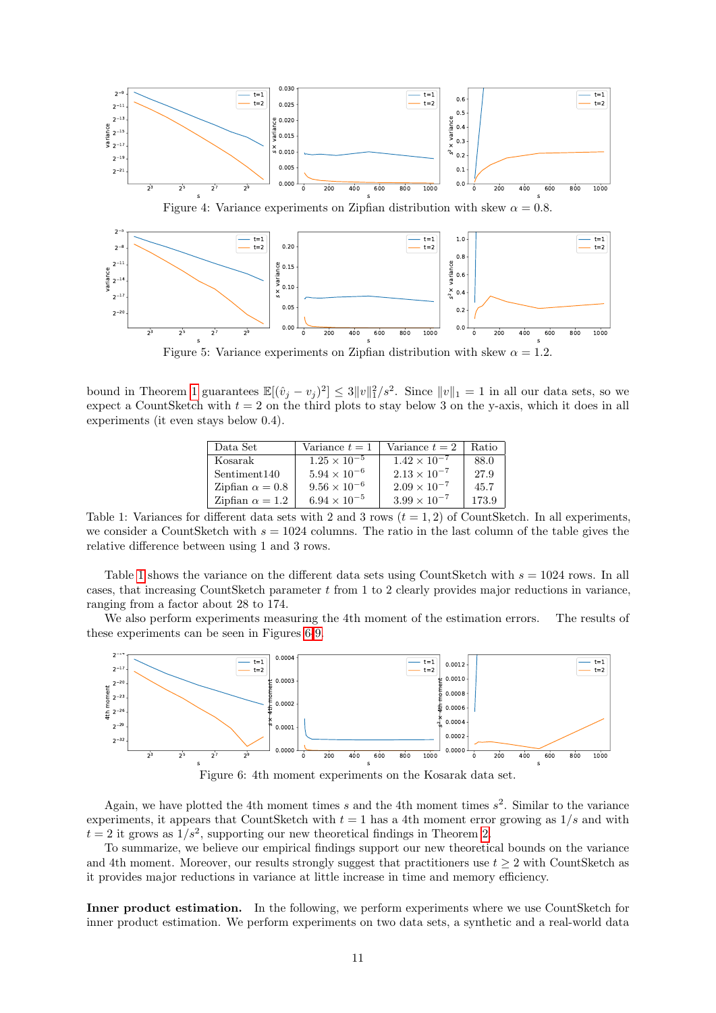<span id="page-10-1"></span>

Figure 5: Variance experiments on Zipfian distribution with skew  $\alpha = 1.2$ .

<span id="page-10-2"></span>bound in Theorem [1](#page-1-2) guarantees  $\mathbb{E}[(\hat{v}_j - v_j)^2] \leq 3||v||_1^2/s^2$ . Since  $||v||_1 = 1$  in all our data sets, so we expect a CountSketch with  $t = 2$  on the third plots to stay below 3 on the y-axis, which it does in all experiments (it even stays below 0.4).

| Data Set                 | Variance $t=1$        | Variance $t=2$        | Ratio |
|--------------------------|-----------------------|-----------------------|-------|
| Kosarak                  | $1.25 \times 10^{-5}$ | $1.42 \times 10^{-7}$ | 88.0  |
| Sentiment <sub>140</sub> | $5.94 \times 10^{-6}$ | $2.13 \times 10^{-7}$ | 27.9  |
| Zipfian $\alpha = 0.8$   | $9.56 \times 10^{-6}$ | $2.09 \times 10^{-7}$ | 45.7  |
| Zipfian $\alpha = 1.2$   | $6.94 \times 10^{-5}$ | $3.99 \times 10^{-7}$ | 173.9 |

Table 1: Variances for different data sets with 2 and 3 rows  $(t = 1, 2)$  of CountSketch. In all experiments, we consider a CountSketch with  $s = 1024$  columns. The ratio in the last column of the table gives the relative difference between using 1 and 3 rows.

Table [1](#page-10-2) shows the variance on the different data sets using CountSketch with  $s = 1024$  rows. In all cases, that increasing CountSketch parameter  $t$  from 1 to 2 clearly provides major reductions in variance, ranging from a factor about 28 to 174.

We also perform experiments measuring the 4th moment of the estimation errors. The results of these experiments can be seen in Figures [6-](#page-10-3)[9.](#page-11-0)

<span id="page-10-3"></span>

Figure 6: 4th moment experiments on the Kosarak data set.

Again, we have plotted the 4th moment times s and the 4th moment times  $s^2$ . Similar to the variance experiments, it appears that CountSketch with  $t = 1$  has a 4th moment error growing as  $1/s$  and with  $t = 2$  it grows as  $1/s^2$ , supporting our new theoretical findings in Theorem [2.](#page-2-0)

To summarize, we believe our empirical findings support our new theoretical bounds on the variance and 4th moment. Moreover, our results strongly suggest that practitioners use  $t \geq 2$  with CountSketch as it provides major reductions in variance at little increase in time and memory efficiency.

<span id="page-10-0"></span>Inner product estimation. In the following, we perform experiments where we use CountSketch for inner product estimation. We perform experiments on two data sets, a synthetic and a real-world data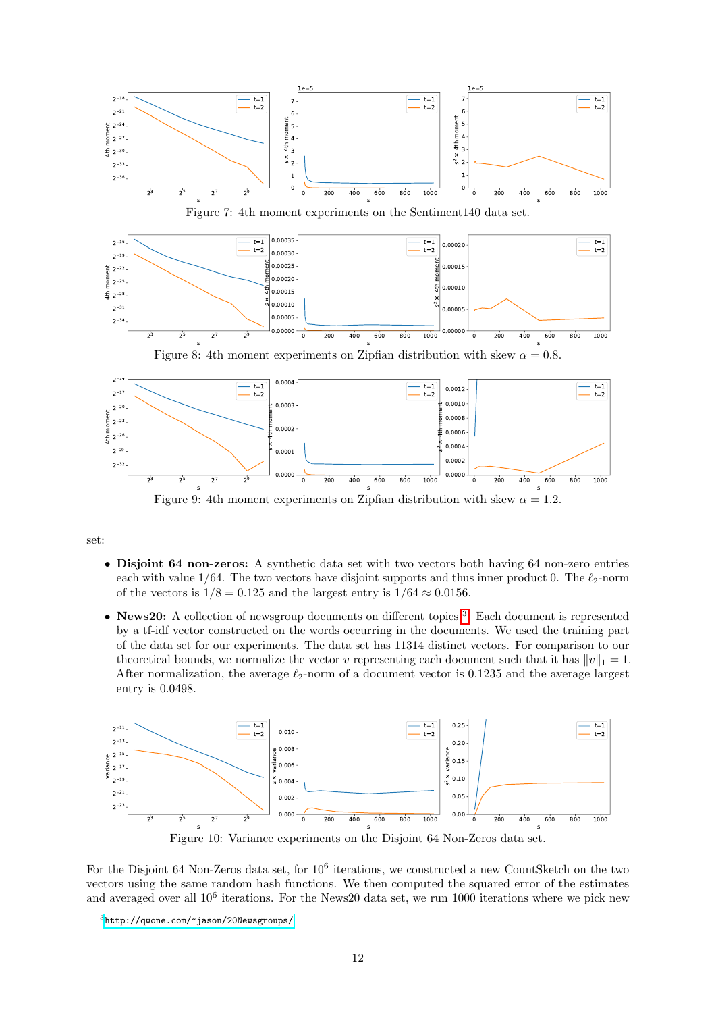

<span id="page-11-0"></span>Figure 9: 4th moment experiments on Zipfian distribution with skew  $\alpha = 1.2$ .

set:

- Disjoint 64 non-zeros: A synthetic data set with two vectors both having 64 non-zero entries each with value  $1/64$ . The two vectors have disjoint supports and thus inner product 0. The  $\ell_2$ -norm of the vectors is  $1/8 = 0.125$  and the largest entry is  $1/64 \approx 0.0156$ .
- News20: A collection of newsgroup documents on different topics<sup>[3](#page-11-1)</sup>. Each document is represented by a tf-idf vector constructed on the words occurring in the documents. We used the training part of the data set for our experiments. The data set has 11314 distinct vectors. For comparison to our theoretical bounds, we normalize the vector v representing each document such that it has  $||v||_1 = 1$ . After normalization, the average  $\ell_2$ -norm of a document vector is 0.1235 and the average largest entry is 0.0498.

<span id="page-11-2"></span>

Figure 10: Variance experiments on the Disjoint 64 Non-Zeros data set.

For the Disjoint 64 Non-Zeros data set, for  $10^6$  iterations, we constructed a new CountSketch on the two vectors using the same random hash functions. We then computed the squared error of the estimates and averaged over all  $10^6$  iterations. For the News20 data set, we run 1000 iterations where we pick new

<span id="page-11-1"></span><sup>3</sup><http://qwone.com/~jason/20Newsgroups/>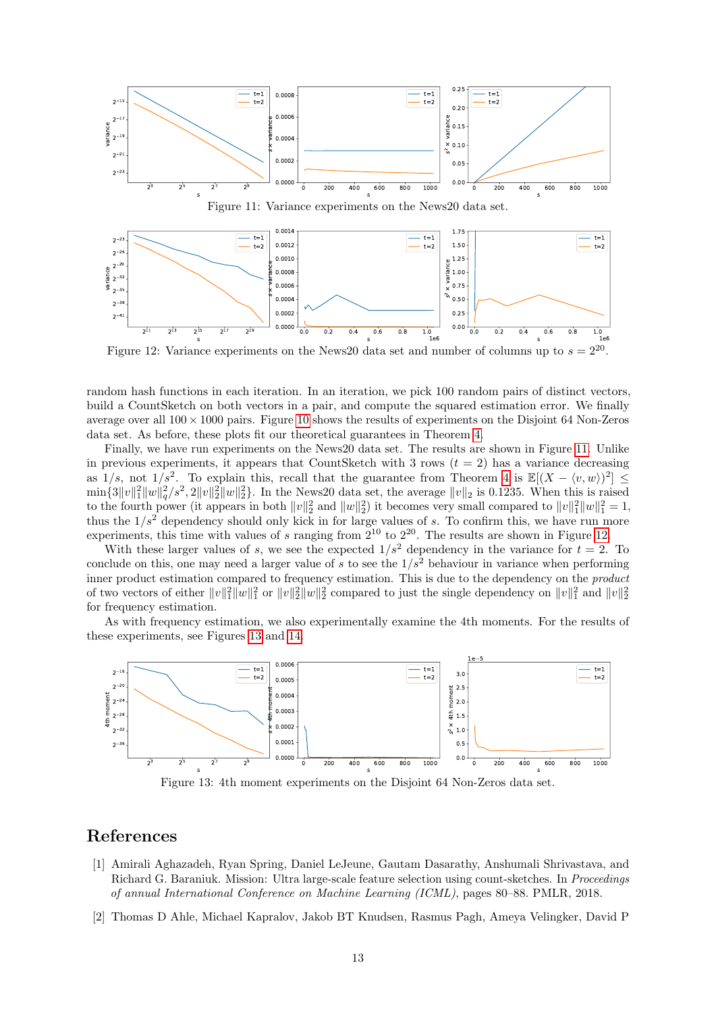<span id="page-12-2"></span>

<span id="page-12-3"></span>Figure 12: Variance experiments on the News20 data set and number of columns up to  $s$  $2^{20}$ .

random hash functions in each iteration. In an iteration, we pick 100 random pairs of distinct vectors, build a CountSketch on both vectors in a pair, and compute the squared estimation error. We finally average over all  $100 \times 1000$  $100 \times 1000$  $100 \times 1000$  pairs. Figure 10 shows the results of experiments on the Disjoint 64 Non-Zeros data set. As before, these plots fit our theoretical guarantees in Theorem [4.](#page-2-2)

Finally, we have run experiments on the News20 data set. The results are shown in Figure [11.](#page-12-2) Unlike in previous experiments, it appears that CountSketch with 3 rows  $(t = 2)$  has a variance decreasing as  $1/s$ , not  $1/s^2$ . To explain this, recall that the guarantee from Theorem [4](#page-2-2) is  $\mathbb{E}[(X - \langle v, w \rangle)^2] \le$  $\min\{3||v||_1^2||w||_q^2/s^2, 2||v||_2^2||w||_2^2\}$ . In the News20 data set, the average  $||v||_2$  is 0.1235. When this is raised to the fourth power (it appears in both  $||v||_2^2$  and  $||w||_2^2$ ) it becomes very small compared to  $||v||_1^2 ||w||_1^2 = 1$ , thus the  $1/s^2$  dependency should only kick in for large values of s. To confirm this, we have run more experiments, this time with values of s ranging from  $2^{10}$  to  $2^{20}$ . The results are shown in Figure [12.](#page-12-3)

With these larger values of s, we see the expected  $1/s^2$  dependency in the variance for  $t = 2$ . To conclude on this, one may need a larger value of s to see the  $1/s<sup>2</sup>$  behaviour in variance when performing inner product estimation compared to frequency estimation. This is due to the dependency on the product of two vectors of either  $||v||_1^2||w||_2^2$  or  $||v||_2^2||w||_2^2$  compared to just the single dependency on  $||v||_1^2$  and  $||v||_2^2$ for frequency estimation.

As with frequency estimation, we also experimentally examine the 4th moments. For the results of these experiments, see Figures [13](#page-12-4) and [14.](#page-13-14)

<span id="page-12-4"></span>

Figure 13: 4th moment experiments on the Disjoint 64 Non-Zeros data set.

# References

- <span id="page-12-0"></span>[1] Amirali Aghazadeh, Ryan Spring, Daniel LeJeune, Gautam Dasarathy, Anshumali Shrivastava, and Richard G. Baraniuk. Mission: Ultra large-scale feature selection using count-sketches. In Proceedings of annual International Conference on Machine Learning (ICML), pages 80–88. PMLR, 2018.
- <span id="page-12-1"></span>[2] Thomas D Ahle, Michael Kapralov, Jakob BT Knudsen, Rasmus Pagh, Ameya Velingker, David P